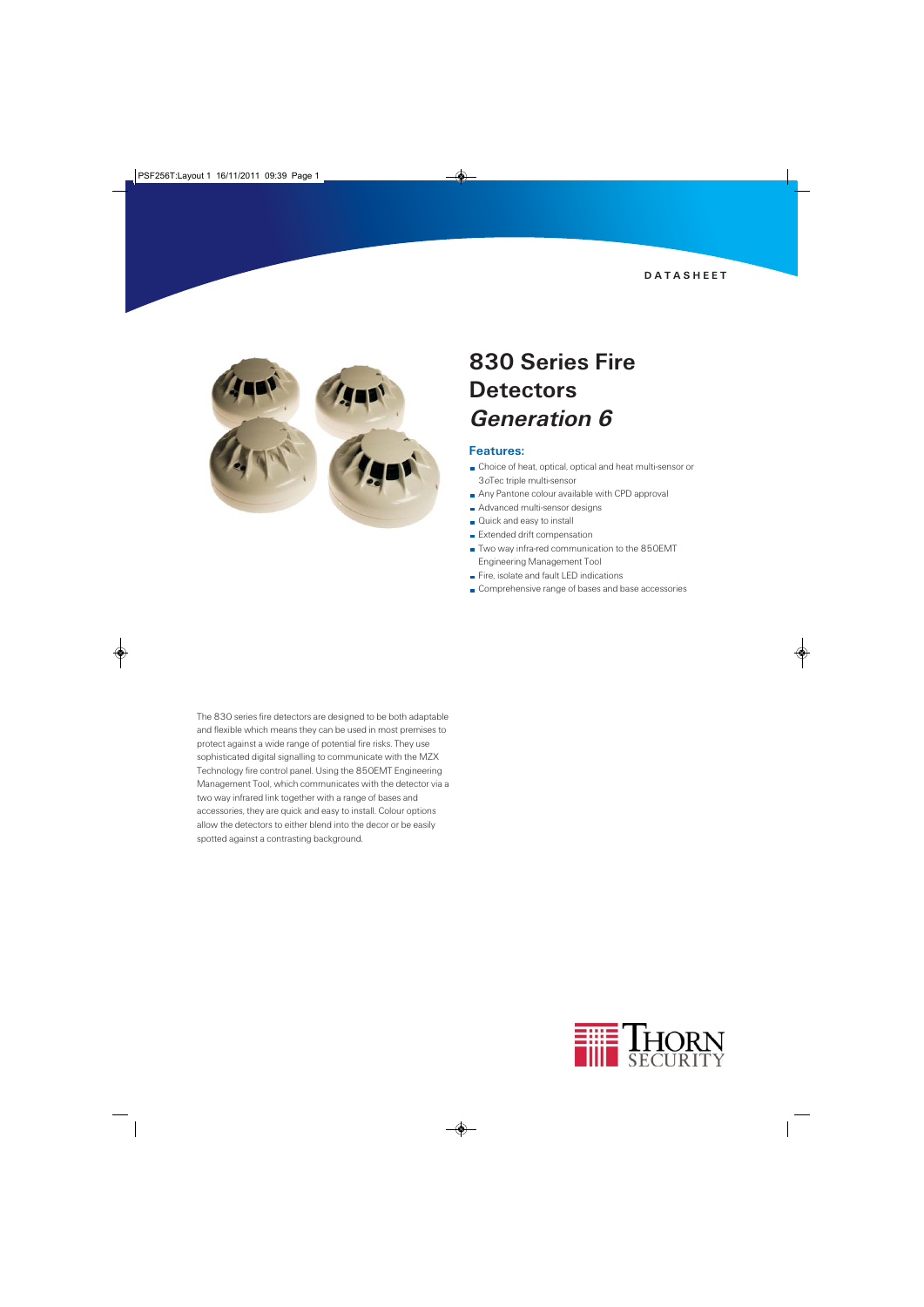

## 830 Series Fire **Detectors** Generation 6

#### Features:

- Choice of heat, optical, optical and heat multi-sensor or 3oTec triple multi-sensor
- Any Pantone colour available with CPD approval
- Advanced multi-sensor designs
- Quick and easy to install
- **Extended drift compensation**
- Two way infra-red communication to the 850EMT Engineering Management Tool
- Fire, isolate and fault LED indications
- Comprehensive range of bases and base accessories

The 830 series fire detectors are designed to be both adaptable and flexible which means they can be used in most premises to protect against a wide range of potential fire risks. They use sophisticated digital signalling to communicate with the MZX Technology fire control panel. Using the 850EMT Engineering Management Tool, which communicates with the detector via a two way infrared link together with a range of bases and accessories, they are quick and easy to install. Colour options allow the detectors to either blend into the decor or be easily spotted against a contrasting background.

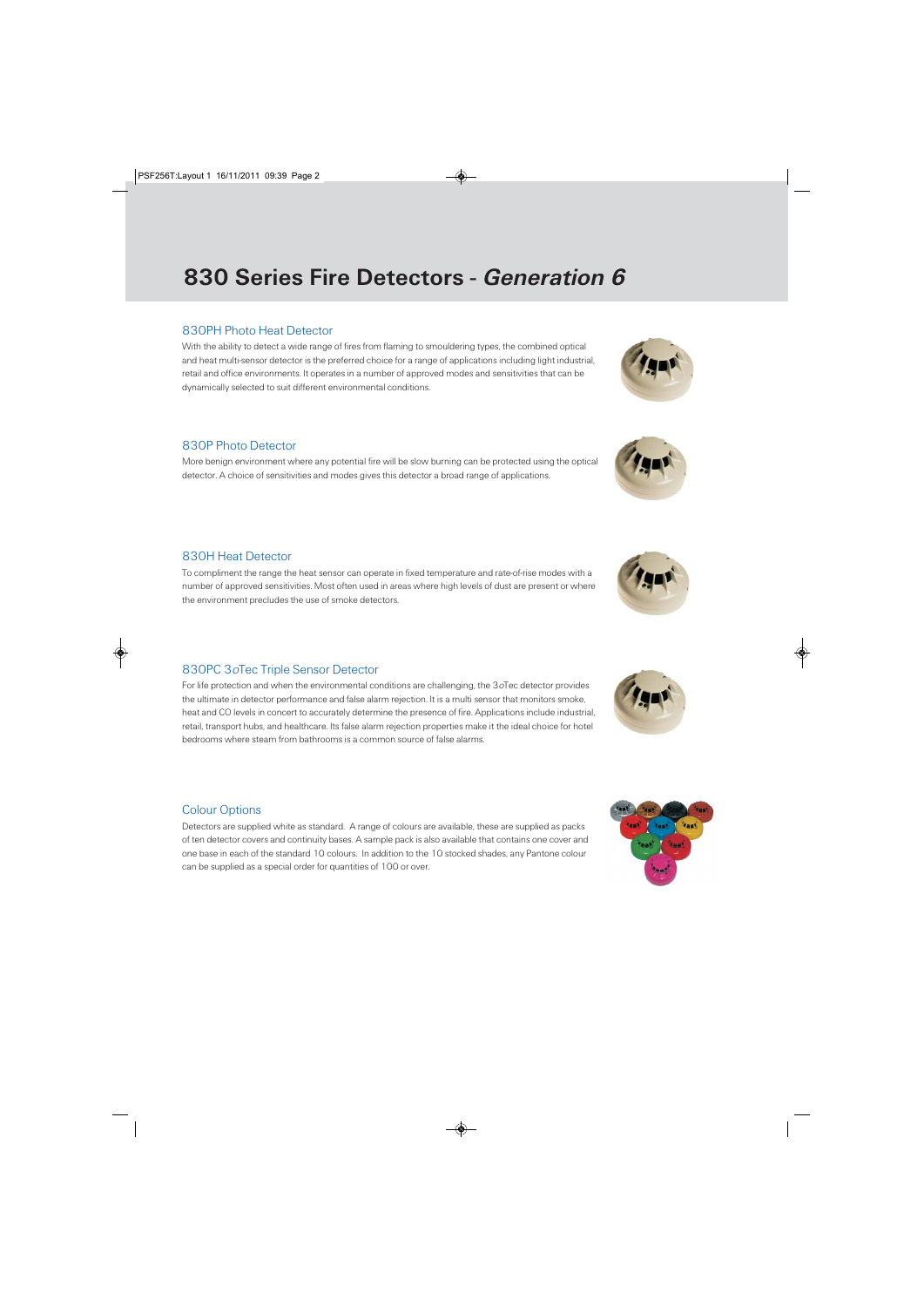# 830 Series Fire Detectors - Generation 6

## 830PH Photo Heat Detector

With the ability to detect a wide range of fires from flaming to smouldering types, the combined optical and heat multi-sensor detector is the preferred choice for a range of applications including light industrial, retail and office environments. It operates in a number of approved modes and sensitivities that can be dynamically selected to suit different environmental conditions.

### 830P Photo Detector

More benign environment where any potential fire will be slow burning can be protected using the optical detector. A choice of sensitivities and modes gives this detector a broad range of applications.

### 830H Heat Detector

To compliment the range the heat sensor can operate in fixed temperature and rate-of-rise modes with a number of approved sensitivities. Most often used in areas where high levels of dust are present or where the environment precludes the use of smoke detectors.

## 830PC 3oTec Triple Sensor Detector

For life protection and when the environmental conditions are challenging, the 3oTec detector provides the ultimate in detector performance and false alarm rejection. It is a multi sensor that monitors smoke, heat and CO levels in concert to accurately determine the presence of fire. Applications include industrial, retail, transport hubs, and healthcare. Its false alarm rejection properties make it the ideal choice for hotel bedrooms where steam from bathrooms is a common source of false alarms.

## Colour Options

Detectors are supplied white as standard. A range of colours are available, these are supplied as packs of ten detector covers and continuity bases. A sample pack is also available that contains one cover and one base in each of the standard 10 colours. In addition to the 10 stocked shades, any Pantone colour can be supplied as a special order for quantities of 100 or over.











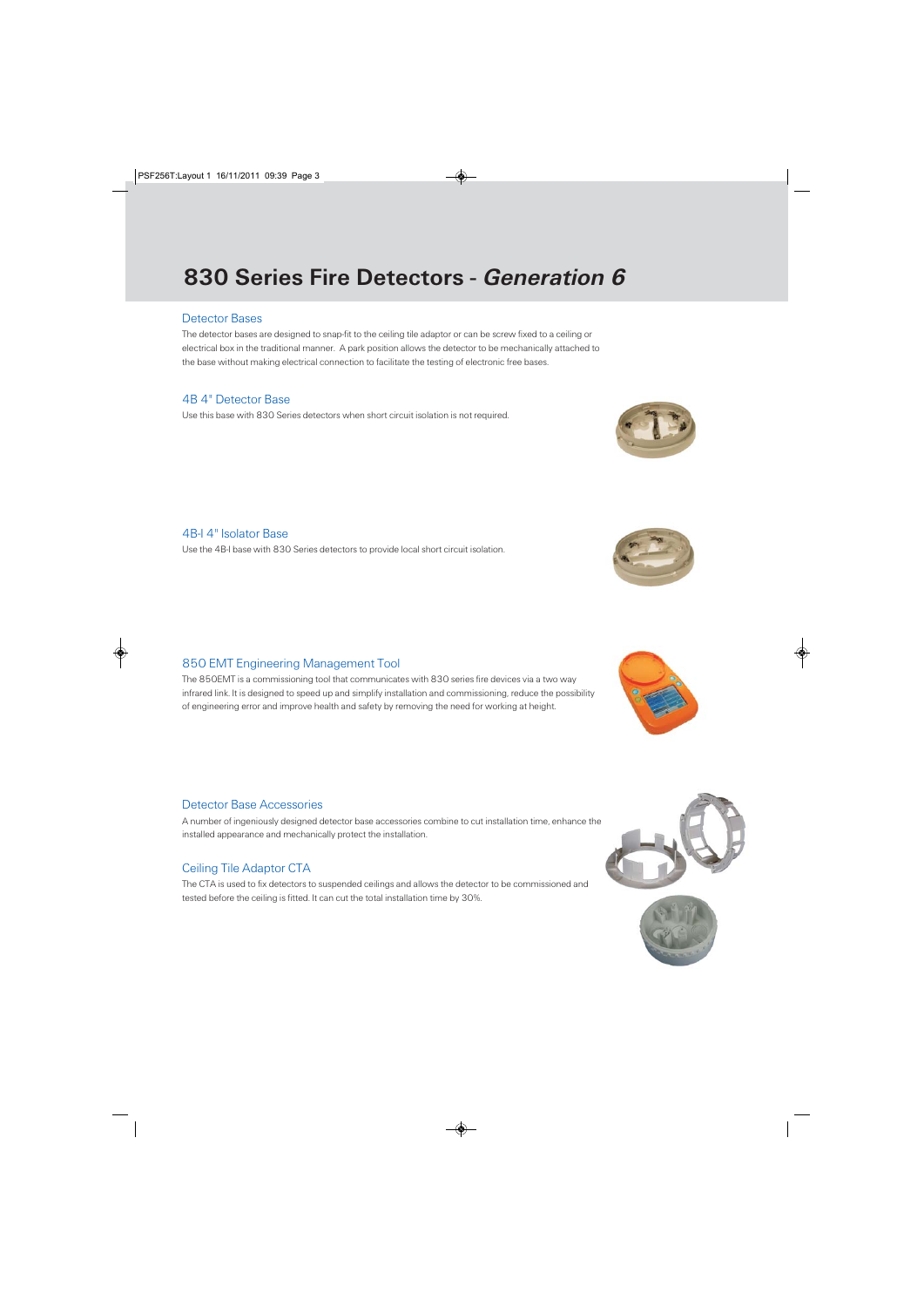# 830 Series Fire Detectors - Generation 6

### Detector Bases

The detector bases are designed to snap-fit to the ceiling tile adaptor or can be screw fixed to a ceiling or electrical box in the traditional manner. A park position allows the detector to be mechanically attached to the base without making electrical connection to facilitate the testing of electronic free bases.

## 4B 4" Detector Base

Use this base with 830 Series detectors when short circuit isolation is not required.

## 4B-I 4" Isolator Base

Use the 4B-I base with 830 Series detectors to provide local short circuit isolation.

## 850 EMT Engineering Management Tool

The 850EMT is a commissioning tool that communicates with 830 series fire devices via a two way infrared link. It is designed to speed up and simplify installation and commissioning, reduce the possibility of engineering error and improve health and safety by removing the need for working at height.

#### Detector Base Accessories

A number of ingeniously designed detector base accessories combine to cut installation time, enhance the installed appearance and mechanically protect the installation.

#### Ceiling Tile Adaptor CTA

The CTA is used to fix detectors to suspended ceilings and allows the detector to be commissioned and tested before the ceiling is fitted. It can cut the total installation time by 30%.











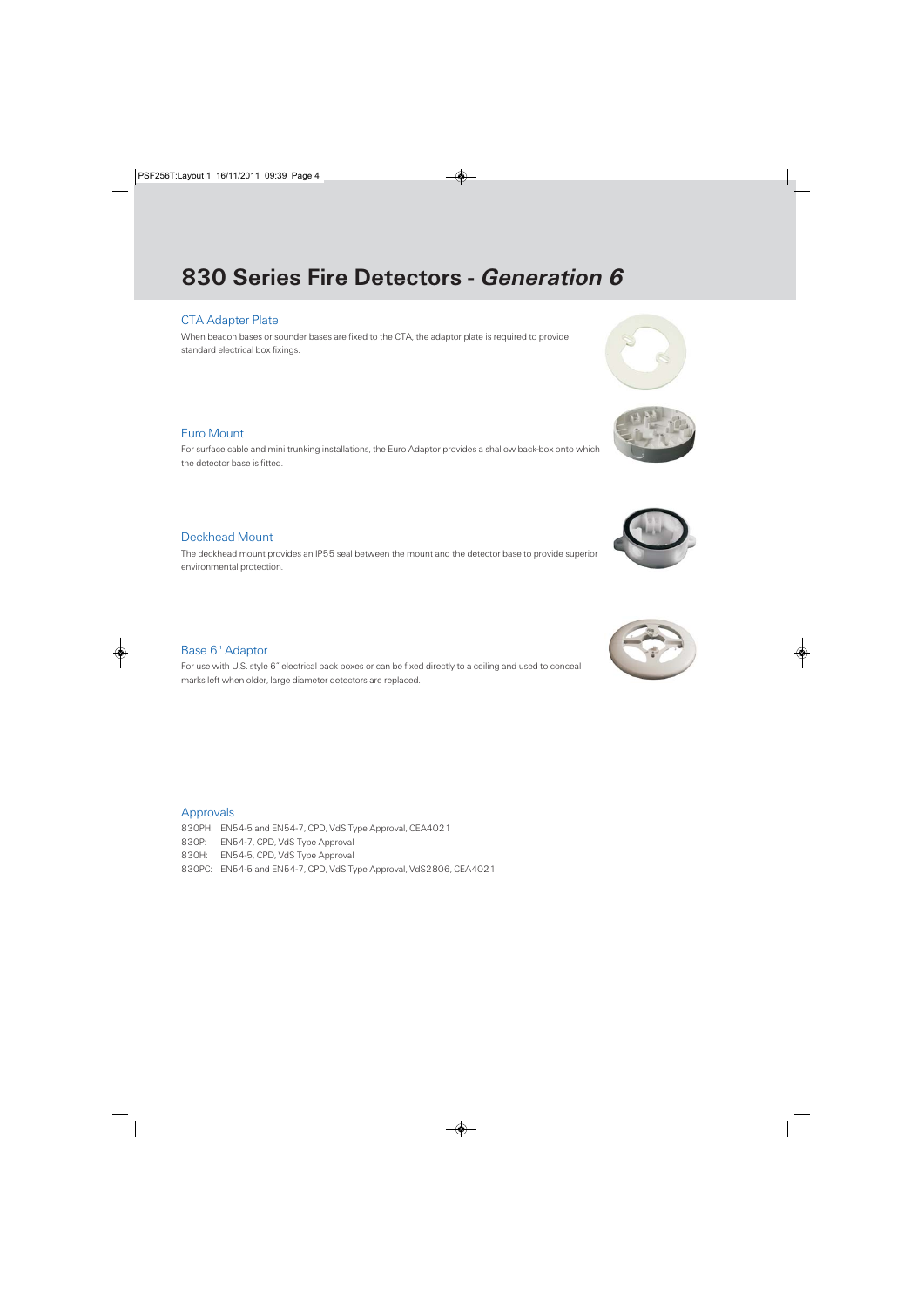# 830 Series Fire Detectors - Generation 6

## CTA Adapter Plate

When beacon bases or sounder bases are fixed to the CTA, the adaptor plate is required to provide standard electrical box fixings.

### Euro Mount

For surface cable and mini trunking installations, the Euro Adaptor provides a shallow back-box onto which the detector base is fitted.

## Deckhead Mount

The deckhead mount provides an IP55 seal between the mount and the detector base to provide superior environmental protection.

#### Base 6" Adaptor

For use with U.S. style 6" electrical back boxes or can be fixed directly to a ceiling and used to conceal marks left when older, large diameter detectors are replaced.

#### Approvals

- 830PH: EN54-5 and EN54-7, CPD, VdS Type Approval, CEA4021
- 830P: EN54-7, CPD, VdS Type Approval
- 830H: EN54-5, CPD, VdS Type Approval
- 830PC: EN54-5 and EN54-7, CPD, VdS Type Approval, VdS2806, CEA4021